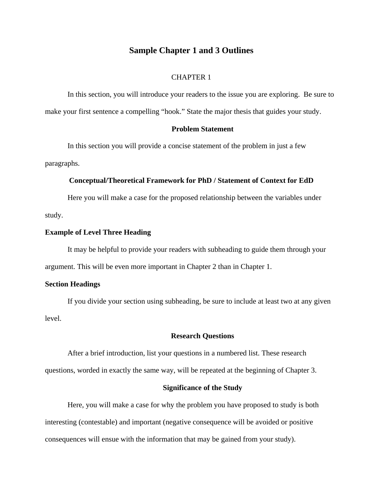# **Sample Chapter 1 and 3 Outlines**

# CHAPTER 1

 In this section, you will introduce your readers to the issue you are exploring. Be sure to make your first sentence a compelling "hook." State the major thesis that guides your study.

## **Problem Statement**

In this section you will provide a concise statement of the problem in just a few paragraphs.

### **Conceptual/Theoretical Framework for PhD / Statement of Context for EdD**

Here you will make a case for the proposed relationship between the variables under study.

## **Example of Level Three Heading**

 It may be helpful to provide your readers with subheading to guide them through your argument. This will be even more important in Chapter 2 than in Chapter 1.

## **Section Headings**

 If you divide your section using subheading, be sure to include at least two at any given level.

#### **Research Questions**

After a brief introduction, list your questions in a numbered list. These research questions, worded in exactly the same way, will be repeated at the beginning of Chapter 3.

### **Significance of the Study**

Here, you will make a case for why the problem you have proposed to study is both interesting (contestable) and important (negative consequence will be avoided or positive consequences will ensue with the information that may be gained from your study).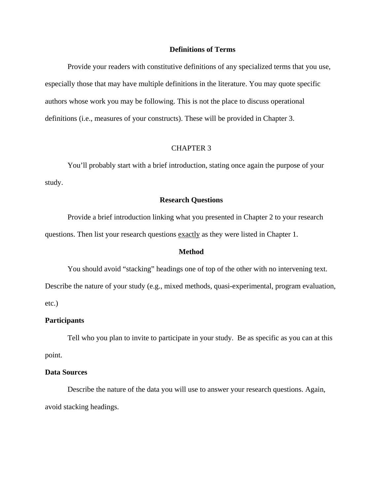# **Definitions of Terms**

 Provide your readers with constitutive definitions of any specialized terms that you use, especially those that may have multiple definitions in the literature. You may quote specific authors whose work you may be following. This is not the place to discuss operational definitions (i.e., measures of your constructs). These will be provided in Chapter 3.

# CHAPTER 3

You'll probably start with a brief introduction, stating once again the purpose of your study.

# **Research Questions**

Provide a brief introduction linking what you presented in Chapter 2 to your research questions. Then list your research questions exactly as they were listed in Chapter 1.

# **Method**

You should avoid "stacking" headings one of top of the other with no intervening text.

Describe the nature of your study (e.g., mixed methods, quasi-experimental, program evaluation, etc.)

#### **Participants**

 Tell who you plan to invite to participate in your study. Be as specific as you can at this point.

## **Data Sources**

 Describe the nature of the data you will use to answer your research questions. Again, avoid stacking headings.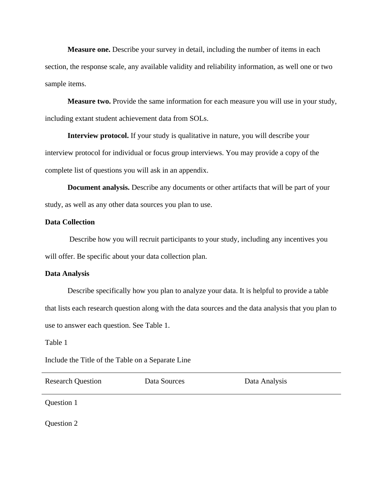**Measure one.** Describe your survey in detail, including the number of items in each section, the response scale, any available validity and reliability information, as well one or two sample items.

**Measure two.** Provide the same information for each measure you will use in your study, including extant student achievement data from SOLs.

**Interview protocol.** If your study is qualitative in nature, you will describe your interview protocol for individual or focus group interviews. You may provide a copy of the complete list of questions you will ask in an appendix.

**Document analysis.** Describe any documents or other artifacts that will be part of your study, as well as any other data sources you plan to use.

### **Data Collection**

 Describe how you will recruit participants to your study, including any incentives you will offer. Be specific about your data collection plan.

#### **Data Analysis**

 Describe specifically how you plan to analyze your data. It is helpful to provide a table that lists each research question along with the data sources and the data analysis that you plan to use to answer each question. See Table 1.

Table 1

Include the Title of the Table on a Separate Line

| <b>Research Question</b> | Data Sources | Data Analysis |
|--------------------------|--------------|---------------|
| $\sim$ $\sim$            |              |               |

Question 1

Question 2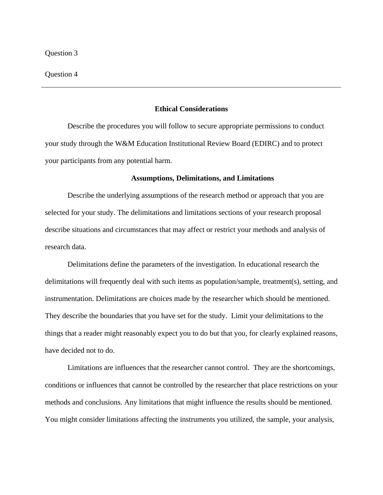#### Question 4

### **Ethical Considerations**

 Describe the procedures you will follow to secure appropriate permissions to conduct your study through the W&M Education Institutional Review Board (EDIRC) and to protect your participants from any potential harm.

#### **Assumptions, Delimitations, and Limitations**

Describe the underlying assumptions of the research method or approach that you are selected for your study. The delimitations and limitations sections of your research proposal describe situations and circumstances that may affect or restrict your methods and analysis of research data.

Delimitations define the parameters of the investigation. In educational research the delimitations will frequently deal with such items as population/sample, treatment(s), setting, and instrumentation. Delimitations are choices made by the researcher which should be mentioned. They describe the boundaries that you have set for the study. Limit your delimitations to the things that a reader might reasonably expect you to do but that you, for clearly explained reasons, have decided not to do.

Limitations are influences that the researcher cannot control. They are the shortcomings, conditions or influences that cannot be controlled by the researcher that place restrictions on your methods and conclusions. Any limitations that might influence the results should be mentioned. You might consider limitations affecting the instruments you utilized, the sample, your analysis,